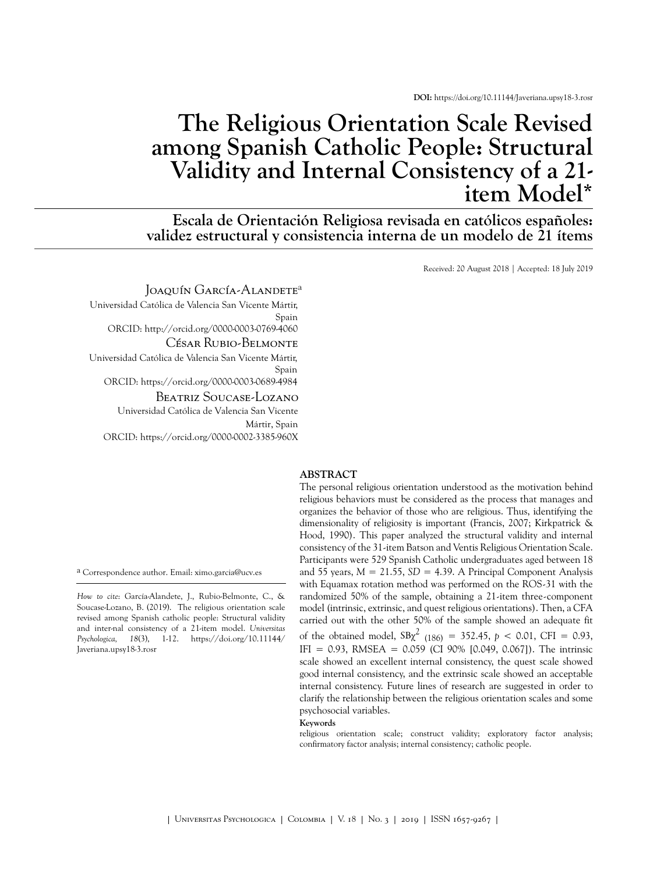**DOI:** <https://doi.org/10.11144/Javeriana.upsy18-3.rosr>

# **The Religious Orientation Scale Revised among Spanish Catholic People: Structural Validity and Internal Consistency of a 21 item Mode[l\\*](#page-11-0)**

**Escala de Orientación Religiosa revisada en católicos españoles: validez estructural y consistencia interna de un modelo de 21 ítems**

Received: 20 August 2018 | Accepted: 18 July 2019

#### Joaquín García-Alandete<sup>a</sup>

Universidad Católica de Valencia San Vicente Mártir, Spain ORCID: <http://orcid.org/0000-0003-0769-4060> César Rubio-Belmonte Universidad Católica de Valencia San Vicente Mártir, Spain

ORCID: h[ttps://orcid.org/0000-0003-0689-4984](http://orcid.org/0000-0003-0689-4984)

## Beatriz Soucase-Lozano

Universidad Católica de Valencia San Vicente Mártir, Spain [ORCID: https://orcid.org/0000-0002-3385-](https://doi.org/10.11144/Javeriana.upsy18-3.rosr)[960X](http://orcid.org/0000-0002-3385-960X)

a Correspondence author. Email: ximo.garcia@ucv.es

*How to cite*: García-Alandete, J., Rubio-Belmonte, C., & Soucase-Lozano, B. (2019). The religious orientation scale revised among Spanish catholic people: Structural validity and inter-nal consistency of a 21-item model. *Universitas Psychologica, 18*(3), 1-12. https://doi.org/10.11144/ Javeriana.upsy18-3.rosr

#### **ABSTRACT**

The personal religious orientation understood as the motivation behind religious behaviors must be considered as the process that manages and organizes the behavior of those who are religious. Thus, identifying the dimensionality of religiosity is important ([Francis, 2007;](#page-8-0) [Kirkpatrick &](#page-9-0) [Hood, 1990](#page-9-0)). This paper analyzed the structural validity and internal consistency of the 31-item Batson and Ventis Religious Orientation Scale. Participants were 529 Spanish Catholic undergraduates aged between 18 and 55 years,  $M = 21.55$ ,  $SD = 4.39$ . A Principal Component Analysis with Equamax rotation method was performed on the ROS-31 with the randomized 50% of the sample, obtaining a 21-item three-component model (intrinsic, extrinsic, and quest religious orientations). Then, a CFA carried out with the other 50% of the sample showed an adequate fit of the obtained model,  $SB\chi^2$  (186) = 352.45, *p* < 0.01, CFI = 0.93, IFI = 0.93, RMSEA = 0.059 (CI 90% [0.049, 0.067]). The intrinsic scale showed an excellent internal consistency, the quest scale showed good internal consistency, and the extrinsic scale showed an acceptable internal consistency. Future lines of research are suggested in order to clarify the relationship between the religious orientation scales and some psychosocial variables.

**Keywords**

religious orientation scale; construct validity; exploratory factor analysis; confirmatory factor analysis; internal consistency; catholic people.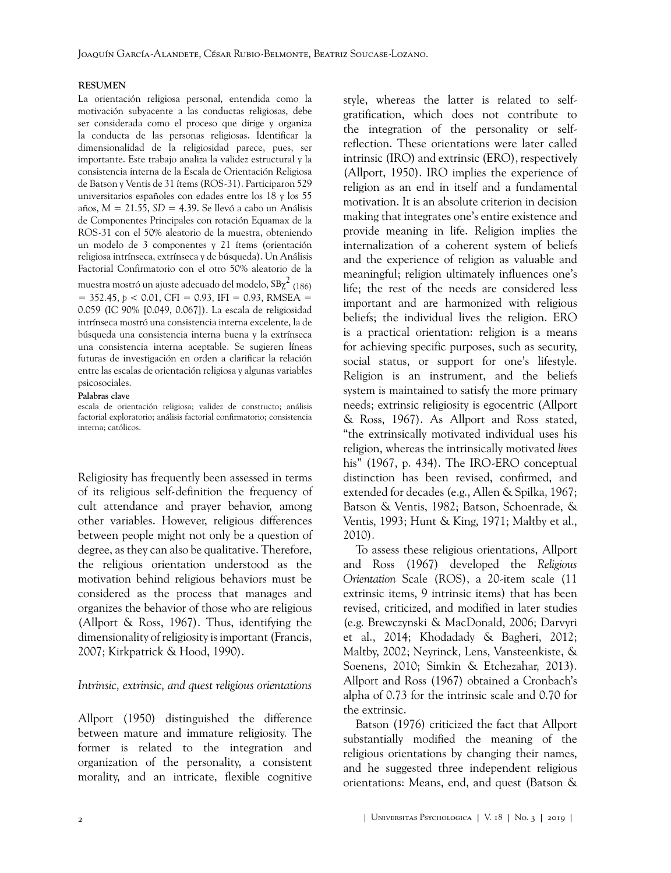#### **RESUMEN**

La orientación religiosa personal, entendida como la motivación subyacente a las conductas religiosas, debe ser considerada como el proceso que dirige y organiza la conducta de las personas religiosas. Identificar la dimensionalidad de la religiosidad parece, pues, ser importante. Este trabajo analiza la validez estructural y la consistencia interna de la Escala de Orientación Religiosa de Batson y Ventis de 31 ítems (ROS-31). Participaron 529 universitarios españoles con edades entre los 18 y los 55 años, *M* = 21.55, *SD* = 4.39. Se llevó a cabo un Análisis de Componentes Principales con rotación Equamax de la ROS-31 con el 50% aleatorio de la muestra, obteniendo un modelo de 3 componentes y 21 ítems (orientación religiosa intrínseca, extrínseca y de búsqueda). Un Análisis Factorial Confirmatorio con el otro 50% aleatorio de la muestra mostró un ajuste adecuado del modelo, SB $\chi^2$  (186)  $= 352.45, b < 0.01$ , CFI = 0.93, IFI = 0.93, RMSEA = 0.059 (IC 90% [0.049, 0.067]). La escala de religiosidad intrínseca mostró una consistencia interna excelente, la de búsqueda una consistencia interna buena y la extrínseca una consistencia interna aceptable. Se sugieren líneas futuras de investigación en orden a clarificar la relación entre las escalas de orientación religiosa y algunas variables psicosociales.

#### **Palabras clave**

escala de orientación religiosa; validez de constructo; análisis factorial exploratorio; análisis factorial confirmatorio; consistencia interna; católicos.

Religiosity has frequently been assessed in terms of its religious self-definition the frequency of cult attendance and prayer behavior, among other variables. However, religious differences between people might not only be a question of degree, as they can also be qualitative. Therefore, the religious orientation understood as the motivation behind religious behaviors must be considered as the process that manages and organizes the behavior of those who are religious ([Allport & Ross, 1967](#page-7-0)). Thus, identifying the dimensionality of religiosity is important [\(Francis,](#page-8-0) [2007;](#page-8-0) [Kirkpatrick & Hood, 1990](#page-9-0)).

#### *Intrinsic, extrinsic, and quest religious orientations*

[Allport \(1950\)](#page-7-1) distinguished the difference between mature and immature religiosity. The former is related to the integration and organization of the personality, a consistent morality, and an intricate, flexible cognitive

style, whereas the latter is related to selfgratification, which does not contribute to the integration of the personality or selfreflection. These orientations were later called intrinsic (IRO) and extrinsic (ERO), respectively ([Allport, 1950\)](#page-7-1). IRO implies the experience of religion as an end in itself and a fundamental motivation. It is an absolute criterion in decision making that integrates one's entire existence and provide meaning in life. Religion implies the internalization of a coherent system of beliefs and the experience of religion as valuable and meaningful; religion ultimately influences one's life; the rest of the needs are considered less important and are harmonized with religious beliefs; the individual lives the religion. ERO is a practical orientation: religion is a means for achieving specific purposes, such as security, social status, or support for one's lifestyle. Religion is an instrument, and the beliefs system is maintained to satisfy the more primary needs; extrinsic religiosity is egocentric [\(Allport](#page-7-0) [& Ross, 1967\)](#page-7-0). As Allport and Ross stated, "the extrinsically motivated individual uses his religion, whereas the intrinsically motivated *lives* his" ([1967, p. 434\)](#page-7-0). The IRO-ERO conceptual distinction has been revised, confirmed, and extended for decades (e.g., [Allen & Spilka, 1967](#page-7-2); [Batson & Ventis, 1982;](#page-8-1) [Batson, Schoenrade, &](#page-8-2) [Ventis, 1993;](#page-8-2) [Hunt & King, 1971;](#page-9-1) [Maltby et al.,](#page-10-0) [2010\)](#page-10-0).

To assess these religious orientations, [Allport](#page-7-0) [and Ross \(1967\)](#page-7-0) developed the *Religious Orientation* Scale (ROS), a 20-item scale (11 extrinsic items, 9 intrinsic items) that has been revised, criticized, and modified in later studies (e.g. [Brewczynski & MacDonald, 2006;](#page-8-3) [Darvyri](#page-8-4) [et al., 2014;](#page-8-4) [Khodadady & Bagheri, 2012](#page-9-2); [Maltby, 2002](#page-10-1); [Neyrinck, Lens, Vansteenkiste, &](#page-10-2) [Soenens, 2010;](#page-10-2) [Simkin & Etchezahar, 2013\)](#page-11-1). [Allport and Ross \(1967\)](#page-7-0) obtained a Cronbach's alpha of 0.73 for the intrinsic scale and 0.70 for the extrinsic.

[Batson \(1976\)](#page-7-3) criticized the fact that Allport substantially modified the meaning of the religious orientations by changing their names, and he suggested three independent religious orientations: Means, end, and quest [\(Batson &](#page-7-4)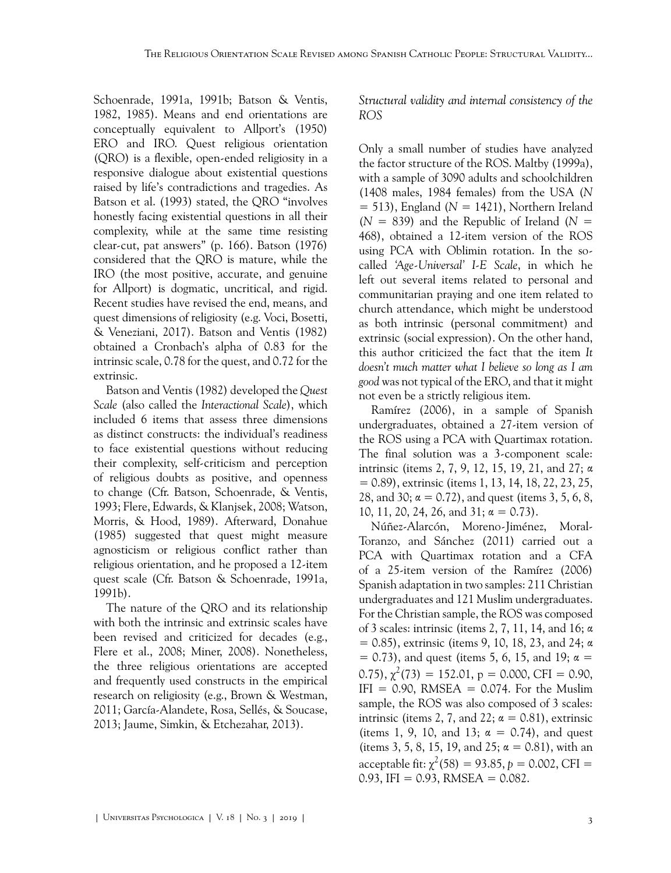[Schoenrade, 1991a](#page-7-4), [1991b;](#page-8-5) [Batson & Ventis,](#page-8-1) [1982,](#page-8-1) [1985\)](#page-8-6). Means and end orientations are conceptually equivalent to [Allport's \(1950\)](#page-7-1) ERO and IRO. Quest religious orientation (QRO) is a flexible, open-ended religiosity in a responsive dialogue about existential questions raised by life's contradictions and tragedies. As [Batson et al. \(1993\)](#page-8-2) stated, the QRO "involves honestly facing existential questions in all their complexity, while at the same time resisting clear-cut, pat answers" (p. 166). [Batson \(1976\)](#page-7-3) considered that the QRO is mature, while the IRO (the most positive, accurate, and genuine for Allport) is dogmatic, uncritical, and rigid. Recent studies have revised the end, means, and quest dimensions of religiosity (e.g. [Voci, Bosetti,](#page-11-2) [& Veneziani, 2017\)](#page-11-2). [Batson and Ventis \(1982\)](#page-8-1) obtained a Cronbach's alpha of 0.83 for the intrinsic scale, 0.78 for the quest, and 0.72 for the extrinsic.

[Batson and Ventis \(1982\)](#page-8-1) developed the *Quest Scale* (also called the *Interactional Scale*), which included 6 items that assess three dimensions as distinct constructs: the individual's readiness to face existential questions without reducing their complexity, self-criticism and perception of religious doubts as positive, and openness to change (Cfr. [Batson, Schoenrade, & Ventis,](#page-8-2) [1993;](#page-8-2) [Flere, Edwards, & Klanjsek, 2008](#page-8-7); [Watson,](#page-11-3) [Morris, & Hood, 1989\)](#page-11-3). Afterward, [Donahue](#page-8-8) [\(1985\)](#page-8-8) suggested that quest might measure agnosticism or religious conflict rather than religious orientation, and he proposed a 12-item quest scale (Cfr. [Batson & Schoenrade, 1991a,](#page-7-4) [1991b](#page-8-5)).

The nature of the QRO and its relationship with both the intrinsic and extrinsic scales have been revised and criticized for decades (e.g., [Flere et al., 2008;](#page-8-7) [Miner, 2008\)](#page-10-3). Nonetheless, the three religious orientations are accepted and frequently used constructs in the empirical research on religiosity (e.g., [Brown & Westman,](#page-8-9) [2011;](#page-8-9) [García-Alandete, Rosa, Sellés, & Soucase,](#page-9-3) [2013;](#page-9-3) [Jaume, Simkin, & Etchezahar, 2013\)](#page-9-4).

*Structural validity and internal consistency of the ROS*

Only a small number of studies have analyzed the factor structure of the ROS. [Maltby \(1999a\),](#page-10-4) with a sample of 3090 adults and schoolchildren (1408 males, 1984 females) from the USA (*N*  $= 513$ ), England ( $N = 1421$ ), Northern Ireland  $(N = 839)$  and the Republic of Ireland  $(N = 100)$ 468), obtained a 12-item version of the ROS using PCA with Oblimin rotation. In the socalled *'Age-Universal' I-E Scale*, in which he left out several items related to personal and communitarian praying and one item related to church attendance, which might be understood as both intrinsic (personal commitment) and extrinsic (social expression). On the other hand, this author criticized the fact that the item *It doesn't much matter what I believe so long as I am good* was not typical of the ERO, and that it might not even be a strictly religious item.

[Ramírez \(2006\),](#page-10-5) in a sample of Spanish undergraduates, obtained a 27-item version of the ROS using a PCA with Quartimax rotation. The final solution was a 3-component scale: intrinsic (items 2, 7, 9, 12, 15, 19, 21, and 27; α = 0.89), extrinsic (items 1, 13, 14, 18, 22, 23, 25, 28, and 30;  $\alpha = 0.72$ ), and quest (items 3, 5, 6, 8, 10, 11, 20, 24, 26, and  $31$ ;  $\alpha = 0.73$ ).

[Núñez-Alarcón, Moreno-Jiménez, Moral-](#page-10-6)[Toranzo, and Sánchez \(2011\)](#page-10-6) carried out a PCA with Quartimax rotation and a CFA of a 25-item version of the [Ramírez \(2006\)](#page-10-5) Spanish adaptation in two samples: 211 Christian undergraduates and 121 Muslim undergraduates. For the Christian sample, the ROS was composed of 3 scales: intrinsic (items 2, 7, 11, 14, and 16; α  $= 0.85$ ), extrinsic (items 9, 10, 18, 23, and 24;  $\alpha$  $= 0.73$ ), and quest (items 5, 6, 15, and 19;  $\alpha =$ 0.75),  $\chi^2$ (73) = 152.01, p = 0.000, CFI = 0.90,  $IFI = 0.90$ , RMSEA = 0.074. For the Muslim sample, the ROS was also composed of 3 scales: intrinsic (items 2, 7, and 22;  $\alpha = 0.81$ ), extrinsic (items 1, 9, 10, and 13;  $\alpha = 0.74$ ), and quest (items 3, 5, 8, 15, 19, and 25;  $\alpha = 0.81$ ), with an acceptable fit:  $\chi^2(58) = 93.85$ ,  $p = 0.002$ , CFI =  $0.93$ , IFI = 0.93, RMSEA = 0.082.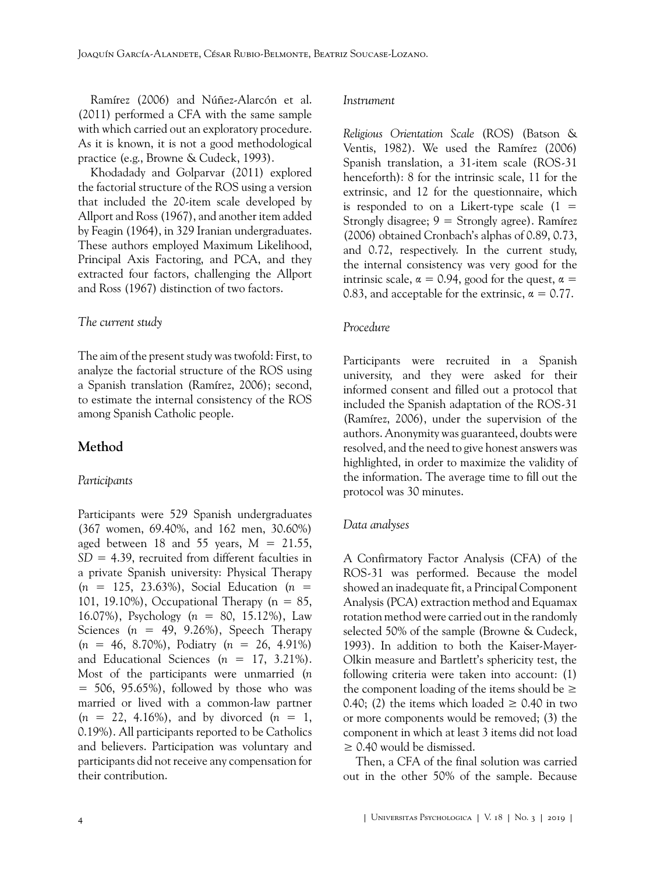[Ramírez \(2006\)](#page-10-5) and [Núñez-Alarcón et al.](#page-10-6) [\(2011\)](#page-10-6) performed a CFA with the same sample with which carried out an exploratory procedure. As it is known, it is not a good methodological practice (e.g., [Browne & Cudeck, 1993\)](#page-8-10).

[Khodadady and Golparvar \(2011\)](#page-9-5) explored the factorial structure of the ROS using a version that included the 20-item scale developed by [Allport and Ross \(1967\)](#page-7-0), and another item added by [Feagin \(1964\)](#page-8-11), in 329 Iranian undergraduates. These authors employed Maximum Likelihood, Principal Axis Factoring, and PCA, and they extracted four factors, challenging the [Allport](#page-7-0) [and Ross \(1967\)](#page-7-0) distinction of two factors.

#### *The current study*

The aim of the present study was twofold: First, to analyze the factorial structure of the ROS using a Spanish translation ([Ramírez, 2006](#page-10-5)); second, to estimate the internal consistency of the ROS among Spanish Catholic people.

## **Method**

#### *Participants*

Participants were 529 Spanish undergraduates (367 women, 69.40%, and 162 men, 30.60%) aged between 18 and 55 years, *M* = 21.55, *SD* = 4.39, recruited from different faculties in a private Spanish university: Physical Therapy (*n* = 125, 23.63%), Social Education (*n* = 101, 19.10%), Occupational Therapy ( $n = 85$ , 16.07%), Psychology (*n* = 80, 15.12%), Law Sciences  $(n = 49, 9.26\%)$ , Speech Therapy (*n* = 46, 8.70%), Podiatry (*n* = 26, 4.91%) and Educational Sciences  $(n = 17, 3.21\%).$ Most of the participants were unmarried (*n*  $= 506, 95.65\%$ , followed by those who was married or lived with a common-law partner  $(n = 22, 4.16\%)$ , and by divorced  $(n = 1,$ 0.19%). All participants reported to be Catholics and believers. Participation was voluntary and participants did not receive any compensation for their contribution.

#### *Instrument*

*Religious Orientation Scale* (ROS) [\(Batson &](#page-8-1) [Ventis, 1982](#page-8-1)). We used the [Ramírez \(2006\)](#page-10-5) Spanish translation, a 31-item scale (ROS-31 henceforth): 8 for the intrinsic scale, 11 for the extrinsic, and 12 for the questionnaire, which is responded to on a Likert-type scale  $(1 =$ Strongly disagree; 9 = Strongly agree). [Ramírez](#page-10-5) [\(2006\)](#page-10-5) obtained Cronbach's alphas of 0.89, 0.73, and 0.72, respectively. In the current study, the internal consistency was very good for the intrinsic scale,  $\alpha = 0.94$ , good for the quest,  $\alpha =$ 0.83, and acceptable for the extrinsic,  $\alpha = 0.77$ .

#### *Procedure*

Participants were recruited in a Spanish university, and they were asked for their informed consent and filled out a protocol that included the Spanish adaptation of the ROS-31 ([Ramírez, 2006\)](#page-10-5), under the supervision of the authors. Anonymity was guaranteed, doubts were resolved, and the need to give honest answers was highlighted, in order to maximize the validity of the information. The average time to fill out the protocol was 30 minutes.

#### *Data analyses*

A Confirmatory Factor Analysis (CFA) of the ROS-31 was performed. Because the model showed an inadequate fit, a Principal Component Analysis (PCA) extraction method and Equamax rotation method were carried out in the randomly selected 50% of the sample ([Browne & Cudeck,](#page-8-10) [1993\)](#page-8-10). In addition to both the Kaiser-Mayer-Olkin measure and Bartlett's sphericity test, the following criteria were taken into account: (1) the component loading of the items should be  $\geq$ 0.40; (2) the items which loaded  $\geq$  0.40 in two or more components would be removed; (3) the component in which at least 3 items did not load  $\geq$  0.40 would be dismissed.

Then, a CFA of the final solution was carried out in the other 50% of the sample. Because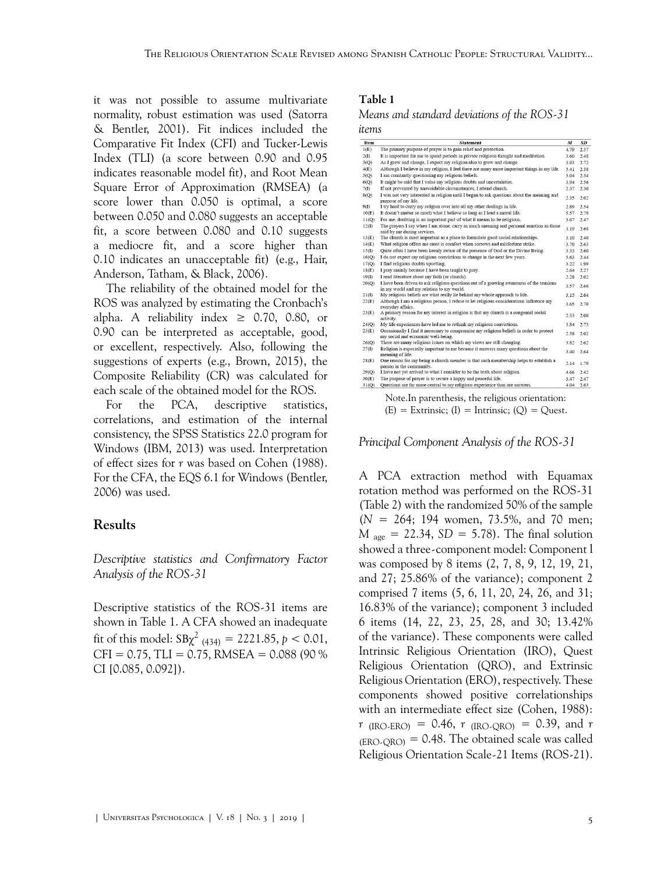it was not possible to assume multivariate normality, robust estimation was used [\(Satorra](#page-11-4) [& Bentler, 2001](#page-11-4)). Fit indices included the Comparative Fit Index (CFI) and Tucker-Lewis Index (TLI) (a score between 0.90 and 0.95 indicates reasonable model fit), and Root Mean Square Error of Approximation (RMSEA) (a score lower than 0.050 is optimal, a score between 0.050 and 0.080 suggests an acceptable fit, a score between 0.080 and 0.10 suggests a mediocre fit, and a score higher than 0.10 indicates an unacceptable fit) (e.g., [Hair,](#page-9-6) [Anderson, Tatham, & Black, 2006\)](#page-9-6).

The reliability of the obtained model for the ROS was analyzed by estimating the Cronbach's alpha. A reliability index  $\geq$  0.70, 0.80, or 0.90 can be interpreted as acceptable, good, or excellent, respectively. Also, following the suggestions of experts (e.g., [Brown, 2015\)](#page-8-12), the Composite Reliability (CR) was calculated for each scale of the obtained model for the ROS.

For the PCA, descriptive statistics, correlations, and estimation of the internal consistency, the SPSS Statistics 22.0 program for Windows ([IBM, 2013\)](#page-9-7) was used. Interpretation of effect sizes for *r* was based on [Cohen \(1988\).](#page-8-13) For the CFA, the EQS 6.1 for Windows ([Bentler,](#page-8-14) [2006\)](#page-8-14) was used.

## **Results**

*Descriptive statistics and Confirmatory Factor Analysis of the ROS-31*

Descriptive statistics of the ROS-31 items are shown in [Table 1](#page-4-0). A CFA showed an inadequate fit of this model:  $SB\chi^2$  <sub>(434)</sub> = 2221.85, *p* < 0.01,  $CFI = 0.75$ , TLI = 0.75, RMSEA = 0.088 (90 %) CI [0.085, 0.092]).

## <span id="page-4-0"></span>Table 1

*Means and standard deviations of the ROS-31 items*

| Item  | <b>Statement</b>                                                                                                                     | M    | SD   |  |  |  |
|-------|--------------------------------------------------------------------------------------------------------------------------------------|------|------|--|--|--|
| 1(E)  | The primary purpose of prayer is to gain relief and protection.                                                                      |      |      |  |  |  |
| 2(I)  | It is important for me to spend periods in private religious thought and meditation.                                                 |      |      |  |  |  |
| 3(Q)  | As I grow and change, I expect my religion also to grow and change.                                                                  |      |      |  |  |  |
| 4(E)  | Although I believe in my religion. I feel there are many more important things in my life.                                           |      |      |  |  |  |
| 5(Q)  | I am constantly questioning my religious beliefs.                                                                                    |      |      |  |  |  |
| 6(Q)  | It might be said that I value my religious doubts and uncertainties.                                                                 | 3.94 | 2.56 |  |  |  |
| 7(    | If not prevented by unavoidable circumstances, I attend church.                                                                      |      |      |  |  |  |
| S(Q)  | I was not very interested in religion until I began to ask questions about the meaning and<br>purpose of my life.                    |      |      |  |  |  |
| 9(1)  | I try hard to carry my religion over into all my other dealings in life.                                                             |      |      |  |  |  |
| 10(E) | It doesn't matter so much what I believe so long as I lead a moral life.                                                             | 5.57 | 2.79 |  |  |  |
| 11(Q) | For me, doubting is an important part of what it means to be religious.                                                              |      |      |  |  |  |
| 12(I) | The prayers I say when I am alone, carry as much meaning and personal emotion as those<br>said by me during services.                | 3.19 | 2.68 |  |  |  |
| 13(E) | The church is most important as a place to formulate good social relationships.                                                      |      | 2.40 |  |  |  |
| 14(E) | What religion offers me most is comfort when sorrows and misfortune strike.                                                          | 3.70 | 2.63 |  |  |  |
| 15(I) | Quite often I have been keenly aware of the presence of God or the Divine Being.                                                     | 3.33 | 2.60 |  |  |  |
| 16(0) | I do not expect my religious convictions to change in the next few years.                                                            | 5.63 | 2.44 |  |  |  |
| 17(Q) | I find religious doubts upsetting.                                                                                                   | 3.22 | 1.99 |  |  |  |
| 18(E) | I pray mainly because I have been taught to pray.                                                                                    | 2.64 | 2.27 |  |  |  |
| 19(1) | I read literature about my faith (or church).                                                                                        | 2.28 | 2.02 |  |  |  |
| 20(Q) | I have been driven to ask religious questions out of a growing awareness of the tensions<br>in my world and my relation to my world. | 3.57 | 2.66 |  |  |  |
| 21(I) | My religious beliefs are what really lie behind my whole approach to life.                                                           | 3.15 | 2.64 |  |  |  |
| 22(E) | Although I am a religious person, I refuse to let religious considerations influence my<br>everyday affairs.                         | 3.65 | 2.70 |  |  |  |
| 23(E) | A primary reason for my interest in religion is that my church is a congenial social<br>activity.                                    | 2.53 | 2.00 |  |  |  |
| 24(0) | My life experiences have led me to rethink my religious convictions.                                                                 | 3.84 | 2.73 |  |  |  |
| 25(E) | Occasionally I find it necessary to compromise my religious beliefs in order to protect<br>my social and economic well-being.        | 2.58 | 2.02 |  |  |  |
| 26(Q) | There are many religious issues on which my views are still changing.                                                                | 3.82 | 2.62 |  |  |  |
| 27(1) | Religion is especially important to me because it answers many questions about the<br>meaning of life.                               | 3.40 | 2.64 |  |  |  |
| 28(E) | One reason for my being a church member is that such membership helps to establish a<br>person in the community.                     | 2.14 | 1.79 |  |  |  |
| 29(0) | I have not yet arrived to what I consider to be the truth about religion.                                                            | 4.66 | 2.42 |  |  |  |
| 30(E) | The purpose of prayer is to secure a happy and peaceful life.                                                                        | 3.47 | 2.47 |  |  |  |
| 31(Q) | Questions are far more central to my religious experience than are answers.                                                          | 4.04 | 2.63 |  |  |  |

Note.In parenthesis, the religious orientation:  $(E)$  = Extrinsic;  $(I)$  = Intrinsic;  $(Q)$  = Quest.

*Principal Component Analysis of the ROS-31*

A PCA extraction method with Equamax rotation method was performed on the ROS-31 [\(Table 2](#page-5-0)) with the randomized 50% of the sample (*N* = 264; 194 women, 73.5%, and 70 men;  $M_{\text{age}} = 22.34$ ,  $SD = 5.78$ ). The final solution showed a three-component model: Component l was composed by 8 items (2, 7, 8, 9, 12, 19, 21, and 27; 25.86% of the variance); component 2 comprised 7 items (5, 6, 11, 20, 24, 26, and 31; 16.83% of the variance); component 3 included 6 items (14, 22, 23, 25, 28, and 30; 13.42% of the variance). These components were called Intrinsic Religious Orientation (IRO), Quest Religious Orientation (QRO), and Extrinsic Religious Orientation (ERO), respectively. These components showed positive correlationships with an intermediate effect size ([Cohen, 1988\)](#page-8-13):  $r$  (IRO-ERO) = 0.46,  $r$  (IRO-QRO) = 0.39, and  $r$  $_{\rm (ERO-ORO)}$  = 0.48. The obtained scale was called Religious Orientation Scale-21 Items (ROS-21).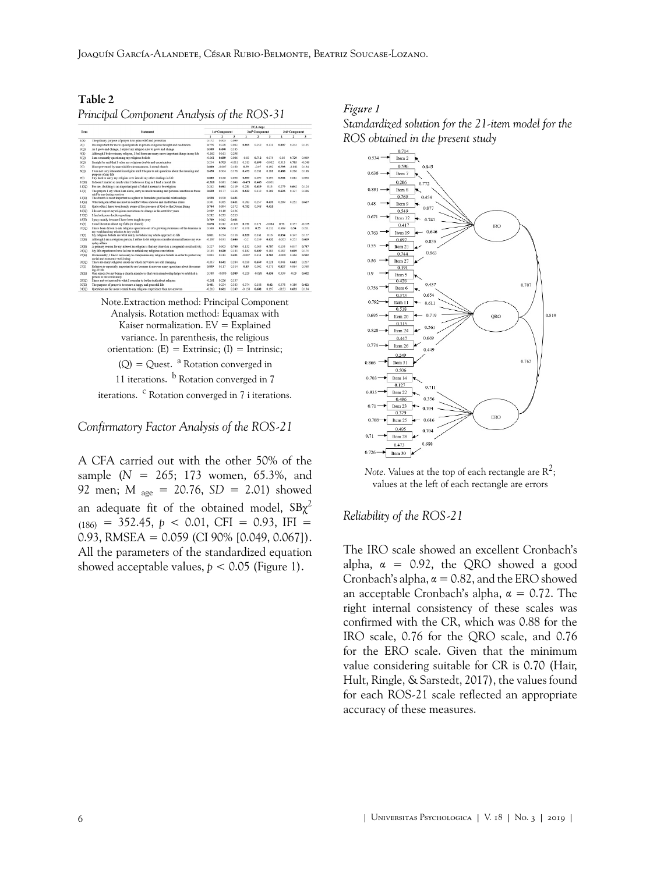<span id="page-5-0"></span>Table 2 *Principal Component Analysis of the ROS-31*

| Item             | <b>Statement</b>                                                                                                                    | PCA steps                  |                |              |                            |          |                            |          |         |              |
|------------------|-------------------------------------------------------------------------------------------------------------------------------------|----------------------------|----------------|--------------|----------------------------|----------|----------------------------|----------|---------|--------------|
|                  |                                                                                                                                     | 1st <sup>*</sup> Component |                |              | 2nd <sup>b</sup> Component |          | 3rd <sup>*</sup> Component |          |         |              |
|                  |                                                                                                                                     | $\mathbf{I}$               | $\overline{a}$ | $\mathbf{a}$ | $\mathbf{I}$               | ٠        | $\lambda$                  | ٠        | ٠       | $\mathbf{3}$ |
| I(E)             | The primary purpose of prayer is to gain relief and protection                                                                      | 0.172                      | 0.303          | 0.099        |                            |          |                            |          |         |              |
| 2(1)             | It is important for me to spend periods in private religious thought and meditation                                                 | 0.775                      | 0.328          | 0.063        | 0.805                      | 0.252    | 0.111                      | 0.807    | 0.244   | 0.105        |
| 3(0)             | As I grow and change. I expect my religion also to grow and change                                                                  | 0.508                      | 0.490          | 0.185        |                            |          |                            |          |         |              |
| 4(E)             | Although I believe in my religion, I feel there are many more important things in my life                                           | $-0.162$                   | 0.161          | 0.298        |                            |          |                            |          |         |              |
| 5(0)             | I am constantly questioning my religious beliefs                                                                                    | 0.061                      | 0.689          | 0.086        | $-0.03$                    | 0.712    | 0.075                      | 001      | 0.729   | 0.069        |
| 6(O)             | It might be said that I value my religious doubts and uncertainties                                                                 | 0.254                      | 0.703          | $-0.011$     | 0.315                      | 0.699    | $-0.032$                   | 0.313    | 0.703   | $-0.049$     |
| 7(T)             | If not reevented by unavoidable circumstances. I attend church                                                                      | 0.800                      | -0.007         | 0.160        | 0.79                       | 0.07     | 0.192                      | 0.793    | 0.082   | 0.194        |
| 8(O)             | I was not very interested in religion until I began to ask questions about the meaning and<br>purpose of my life                    | 0.450                      | 0.304          | 0.178        | 0.473                      | 0.281    | 0.188                      | 0.488    | 0.266   | 0.198        |
| 9(1)             | I try hard to carry my religion over into all my other dealings in life                                                             | 0.850                      | 0.166          | 0.038        | 0.895                      | 0.095    | 0.094                      | 0.902    | 0.082   | 0.096        |
| 10(E)            | It doesn't matter so much what I believe so long as I lead a moral life                                                             | 0.518                      | 0.381          | 0.046        | $-0.475$                   | 0.445    | $-0.051$                   |          |         |              |
| 11(0)            | For me, doubting is an important part of what it means to be religious                                                              | 0.242                      | 0.641          | 0.119        | 0.281                      | 0.629    | 0.13                       | 0.279    | 0.642   | 0.124        |
| 12(D)            | The prayers I say when I am alone, carry as much meaning and personal emotion as those<br>said by me during services.               | 0.620                      | 0.177          | 0.336        | 0.622                      | 0.132    | 0.369                      | 0.626    | 0.127   | 0.366        |
| 13(E)            | The church is most important as a place to formulate good social relationships                                                      | 0.538                      | 0.070          | 0.431        |                            |          |                            |          |         |              |
| 14(E)            | What religion offers me most is comfort when sorrows and misfortune strike                                                          | 0.301                      | 0.265          | 0.611        | 0.283                      | 0.257    | 0.623                      | 0.289    | 0.252   | 0.617        |
| 15CD             | Quite often I have been keenly aware of the presence of God or the Divine Being                                                     | 0.764                      | 0.094          | 0.372        | 0.752                      | 0.048    | 0.415                      |          |         |              |
| 16(0)            | I do not expect my religious convictions to change in the next few years.                                                           | 0.089                      | 0.110          | 0.136        |                            |          |                            |          |         |              |
| 17(Q)            | I find religious doubts upsetting                                                                                                   | 0.282                      | 0.235          | 0.213        |                            |          |                            |          |         |              |
| 18(E)            | I pray mainly because I have been taught to pray                                                                                    | 0.709                      | 0.042          | 0.401        |                            |          |                            |          |         |              |
| 1900             | I read literature about my faith (or church)                                                                                        | 0.678                      | 0.242          | $-0.120$     | 0.721                      | 0.171    | 0.084                      | 0.73     | 0.157   | $-0.078$     |
| 20(Q)            | I have been driven to ask religious questions out of a prowing awareness of the tensions in<br>my world and my relation to my world | 0.360                      | 0.566          | 0.187        | 0.378                      | 0.55     | 0.212                      | 0.389    | 0.54    | 0.211        |
| 21 <sup>th</sup> | My religious beliefs are what really lie behind my whole approach to life                                                           | 0.811                      | 0.224          | 0.116        | 0.829                      | 0.161    | 0.16                       | 0.834    | 0.147   | 0.157        |
| 22(E)            | Although I am a religious person. I refuse to let religious considerations influence my eye-<br>ryday affairs                       | $-0.187$                   | 0.191          | 0.646        | $-0.2$                     | 0.239    | 0.632                      | $-0.205$ | 0.255   | 0.619        |
| 23(E)            | A primary reason for my interest in religion is that my church is a congenial social activity                                       | 0.227                      | 0.005          | 0.760        | 0.152                      | 0.045    | 0.787                      | 0.155    | 0.047   | 0.787        |
| 24(0)            | My life experiences have led me to rethink my religious convictions                                                                 | 0.145                      | 0.620          | 0.183        | 0.182                      | 0.609    | 0.183                      | 0.187    | 0.609   | 0.175        |
| 2S(E)            | Occasionally. I find it necessary to compromise my religious beliefs in order to protect my<br>social and economic well-being       | 0.003                      | 0.313          | 0.491        | $-0.007$                   | 0.351    | 0.503                      | $-0.009$ | 0.366   | 0.502        |
| 26(Q)            | There are many religious issues on which my views are still changing                                                                | $-0.017$                   | 0.641          | 0.284        | 0.039                      | 0.659    | 0.228                      | 0.043    | 0.662   | 0.217        |
| 2700             | Religion is especially important to me because it answers many questions about the mean-<br>ing of life                             | 0.839                      | 0.117          | 0.314        | 0.83                       | 0.062    | 0.371                      | 0.827    | 0.064   | 0.368        |
| 28(E)            | One reason for my being a church member is that such membership helps to establish a<br>person in the community                     | 0.388                      | $-0.080$       | 0.589        | 0.329                      | $-0.088$ | 0.636                      | 0.339    | $-0.09$ | 0.652        |
| 29(O)            | I have not vet arrived to what I consider to be the truth about religion.                                                           | $-0.261$                   | 0.226          | 0.137        |                            |          |                            |          |         |              |
| 30(E)            | The purpose of praver is to secure a happy and peaceful life                                                                        | 0.401                      | 0.224          | 0.383        | 0.374                      | 0.188    | 0.42                       | 0.378    | 0.189   | 0.422        |
| 31(Q)            | Questions are far more central to my religious experience than are anywers                                                          | $-0.210$                   | 0.661          | 0.249        | $-0.158$                   | 0.682    | 0.197                      | $-0153$  | 0.692   | 0.194        |

Note.Extraction method: Principal Component Analysis. Rotation method: Equamax with Kaiser normalization.  $EV =$  Explained variance. In parenthesis, the religious orientation:  $(E) =$  Extrinsic;  $(I) =$  Intrinsic;  $(Q) = Q$ uest. <sup>a</sup> Rotation converged in 11 iterations.  $\frac{b}{c}$  Rotation converged in 7

iterations. <sup>c</sup> Rotation converged in 7 i iterations.

*Confirmatory Factor Analysis of the ROS-21*

A CFA carried out with the other 50% of the sample (*N* = 265; 173 women, 65.3%, and 92 men; *M* age = 20.76, *SD* = 2.01) showed an adequate fit of the obtained model,  $\text{SB}\chi^2$  $(186)$  = 352.45,  $p < 0.01$ , CFI = 0.93, IFI = 0.93, RMSEA =  $0.059$  (CI 90% [0.049, 0.067]). All the parameters of the standardized equation showed acceptable values,  $p < 0.05$  ([Figure 1](#page-5-1)).

#### <span id="page-5-1"></span>*Figure 1*





*Note.* Values at the top of each rectangle are  $\text{R}^2$ ; values at the left of each rectangle are errors

#### *Reliability of the ROS-21*

The IRO scale showed an excellent Cronbach's alpha,  $\alpha = 0.92$ , the QRO showed a good Cronbach's alpha,  $\alpha = 0.82$ , and the ERO showed an acceptable Cronbach's alpha,  $\alpha = 0.72$ . The right internal consistency of these scales was confirmed with the CR, which was 0.88 for the IRO scale, 0.76 for the QRO scale, and 0.76 for the ERO scale. Given that the minimum value considering suitable for CR is 0.70 ([Hair,](#page-9-8) [Hult, Ringle, & Sarstedt, 2017\)](#page-9-8), the values found for each ROS-21 scale reflected an appropriate accuracy of these measures.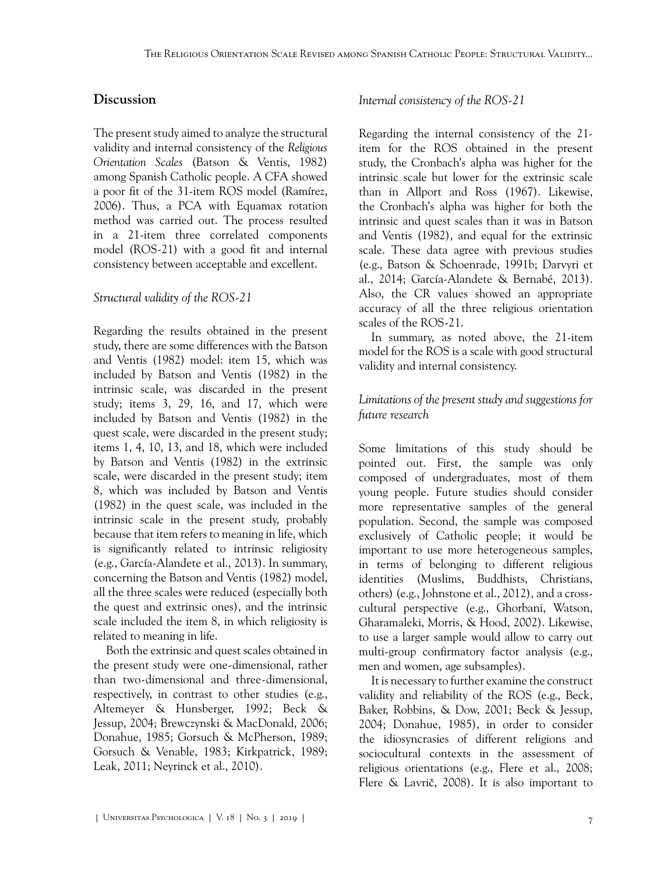## **Discussion**

The present study aimed to analyze the structural validity and internal consistency of the *Religious Orientation Scales* [\(Batson & Ventis, 1982\)](#page-8-1) among Spanish Catholic people. A CFA showed a poor fit of the 31-item ROS model [\(Ramírez,](#page-10-5) [2006\)](#page-10-5). Thus, a PCA with Equamax rotation method was carried out. The process resulted in a 21-item three correlated components model (ROS-21) with a good fit and internal consistency between acceptable and excellent.

#### *Structural validity of the ROS-21*

Regarding the results obtained in the present study, there are some differences with the [Batson](#page-8-1) [and Ventis \(1982\)](#page-8-1) model: item 15, which was included by [Batson and Ventis \(1982\)](#page-8-1) in the intrinsic scale, was discarded in the present study; items 3, 29, 16, and 17, which were included by [Batson and Ventis \(1982\)](#page-8-1) in the quest scale, were discarded in the present study; items 1, 4, 10, 13, and 18, which were included by [Batson and Ventis \(1982\)](#page-8-1) in the extrinsic scale, were discarded in the present study; item 8, which was included by [Batson and Ventis](#page-8-1) [\(1982\)](#page-8-1) in the quest scale, was included in the intrinsic scale in the present study, probably because that item refers to meaning in life, which is significantly related to intrinsic religiosity (e.g., [García-Alandete et al., 2013\)](#page-9-3). In summary, concerning the [Batson and Ventis \(1982\)](#page-8-1) model, all the three scales were reduced (especially both the quest and extrinsic ones), and the intrinsic scale included the item 8, in which religiosity is related to meaning in life.

Both the extrinsic and quest scales obtained in the present study were one-dimensional, rather than two-dimensional and three-dimensional, respectively, in contrast to other studies (e.g., [Altemeyer & Hunsberger, 1992](#page-7-5); [Beck &](#page-8-15) [Jessup, 2004;](#page-8-15) [Brewczynski & MacDonald, 2006;](#page-8-3) [Donahue, 1985;](#page-8-8) [Gorsuch & McPherson, 1989;](#page-9-9) [Gorsuch & Venable, 1983;](#page-9-10) [Kirkpatrick, 1989;](#page-9-11) [Leak, 2011;](#page-10-7) [Neyrinck et al., 2010\)](#page-10-2).

#### *Internal consistency of the ROS-21*

Regarding the internal consistency of the 21 item for the ROS obtained in the present study, the Cronbach's alpha was higher for the intrinsic scale but lower for the extrinsic scale than in [Allport and Ross \(1967\).](#page-7-0) Likewise, the Cronbach's alpha was higher for both the intrinsic and quest scales than it was in [Batson](#page-8-1) [and Ventis \(1982\),](#page-8-1) and equal for the extrinsic scale. These data agree with previous studies (e.g., [Batson & Schoenrade, 1991b](#page-8-5); [Darvyri et](#page-8-4) [al., 2014;](#page-8-4) [García-Alandete & Bernabé, 2013\)](#page-8-16). Also, the CR values showed an appropriate accuracy of all the three religious orientation scales of the ROS-21.

In summary, as noted above, the 21-item model for the ROS is a scale with good structural validity and internal consistency.

## *Limitations of the present study and suggestions for future research*

Some limitations of this study should be pointed out. First, the sample was only composed of undergraduates, most of them young people. Future studies should consider more representative samples of the general population. Second, the sample was composed exclusively of Catholic people; it would be important to use more heterogeneous samples, in terms of belonging to different religious identities (Muslims, Buddhists, Christians, others) (e.g., [Johnstone et al., 2012](#page-9-12)), and a crosscultural perspective (e.g., [Ghorbani, Watson,](#page-9-13) [Gharamaleki, Morris, & Hood, 2002](#page-9-13)). Likewise, to use a larger sample would allow to carry out multi-group confirmatory factor analysis (e.g., men and women, age subsamples).

It is necessary to further examine the construct validity and reliability of the ROS (e.g., [Beck,](#page-8-17) [Baker, Robbins, & Dow, 2001](#page-8-17); [Beck & Jessup,](#page-8-15) [2004;](#page-8-15) [Donahue, 1985\)](#page-8-8), in order to consider the idiosyncrasies of different religions and sociocultural contexts in the assessment of religious orientations (e.g., [Flere et al., 2008;](#page-8-7) [Flere & Lavrič, 2008\)](#page-8-18). It is also important to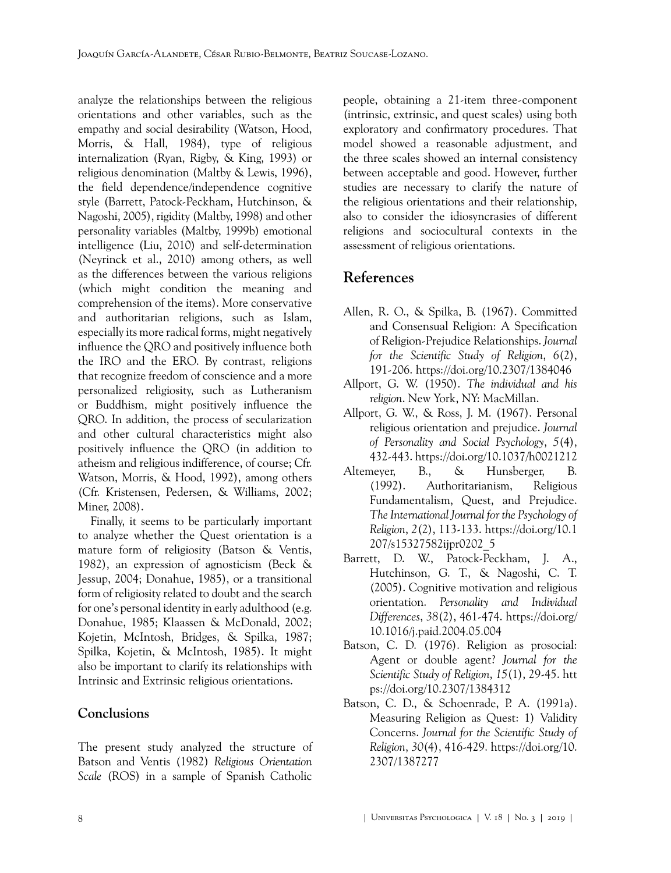analyze the relationships between the religious orientations and other variables, such as the empathy and social desirability [\(Watson, Hood,](#page-11-5) [Morris, & Hall, 1984](#page-11-5)), type of religious internalization [\(Ryan, Rigby, & King, 1993\)](#page-10-8) or religious denomination ([Maltby & Lewis, 1996\)](#page-10-9), the field dependence/independence cognitive style [\(Barrett, Patock-Peckham, Hutchinson, &](#page-7-6) [Nagoshi, 2005](#page-7-6)), rigidity ([Maltby, 1998](#page-10-10)) and other personality variables [\(Maltby, 1999b\)](#page-10-11) emotional intelligence [\(Liu, 2010\)](#page-10-12) and self-determination ([Neyrinck et al., 2010\)](#page-10-2) among others, as well as the differences between the various religions (which might condition the meaning and comprehension of the items). More conservative and authoritarian religions, such as Islam, especially its more radical forms, might negatively influence the QRO and positively influence both the IRO and the ERO. By contrast, religions that recognize freedom of conscience and a more personalized religiosity, such as Lutheranism or Buddhism, might positively influence the QRO. In addition, the process of secularization and other cultural characteristics might also positively influence the QRO (in addition to atheism and religious indifference, of course; Cfr. [Watson, Morris, & Hood, 1992](#page-11-6)), among others (Cfr. [Kristensen, Pedersen, & Williams, 2002](#page-10-13); [Miner, 2008\)](#page-10-3).

Finally, it seems to be particularly important to analyze whether the Quest orientation is a mature form of religiosity ([Batson & Ventis,](#page-8-1) [1982\)](#page-8-1), an expression of agnosticism [\(Beck &](#page-8-15) [Jessup, 2004;](#page-8-15) [Donahue, 1985\)](#page-8-8), or a transitional form of religiosity related to doubt and the search for one's personal identity in early adulthood (e.g. [Donahue, 1985;](#page-8-8) [Klaassen & McDonald, 2002](#page-9-14); [Kojetin, McIntosh, Bridges, & Spilka, 1987](#page-9-15); [Spilka, Kojetin, & McIntosh, 1985](#page-11-7)). It might also be important to clarify its relationships with Intrinsic and Extrinsic religious orientations.

## **Conclusions**

The present study analyzed the structure of [Batson and Ventis \(1982\)](#page-8-1) *Religious Orientation Scale* (ROS) in a sample of Spanish Catholic

people, obtaining a 21-item three-component (intrinsic, extrinsic, and quest scales) using both exploratory and confirmatory procedures. That model showed a reasonable adjustment, and the three scales showed an internal consistency between acceptable and good. However, further studies are necessary to clarify the nature of the religious orientations and their relationship, also to consider the idiosyncrasies of different religions and sociocultural contexts in the assessment of religious orientations.

# **References**

- <span id="page-7-2"></span>Allen, R. O., & Spilka, B. (1967). Committed and Consensual Religion: A Specification of Religion-Prejudice Relationships. *Journal for the Scientific Study of Religion*, *6*(2), 191-206. <https://doi.org/10.2307/1384046>
- <span id="page-7-1"></span>Allport, G. W. (1950). *The individual and his religion*. New York, NY: MacMillan.
- <span id="page-7-0"></span>Allport, G. W., & Ross, J. M. (1967). Personal religious orientation and prejudice. *Journal of Personality and Social Psychology*, *5*(4), 432-443.<https://doi.org/10.1037/h0021212>
- <span id="page-7-5"></span>Altemeyer, B., & Hunsberger, B. (1992). Authoritarianism, Religious Fundamentalism, Quest, and Prejudice. *The International Journal for the Psychology of Religion*, *2*(2), 113-133. [https://doi.org/10.1](https://doi.org/10.1207/s15327582ijpr0202_5) [207/s15327582ijpr0202\\_5](https://doi.org/10.1207/s15327582ijpr0202_5)
- <span id="page-7-6"></span>Barrett, D. W., Patock-Peckham, J. A., Hutchinson, G. T., & Nagoshi, C. T. (2005). Cognitive motivation and religious orientation. *Personality and Individual Differences*, *38*(2), 461-474. [https://doi.org/](https://doi.org/10.1016/j.paid.2004.05.004) [10.1016/j.paid.2004.05.004](https://doi.org/10.1016/j.paid.2004.05.004)
- <span id="page-7-3"></span>Batson, C. D. (1976). Religion as prosocial: Agent or double agent? *Journal for the Scientific Study of Religion*, *15*(1), 29-45. [htt](https://doi.org/10.2307/1384312) [ps://doi.org/10.2307/1384312](https://doi.org/10.2307/1384312)
- <span id="page-7-4"></span>Batson, C. D., & Schoenrade, P. A. (1991a). Measuring Religion as Quest: 1) Validity Concerns. *Journal for the Scientific Study of Religion*, *30*(4), 416-429. [https://doi.org/10.](https://doi.org/10.2307/1387277) [2307/1387277](https://doi.org/10.2307/1387277)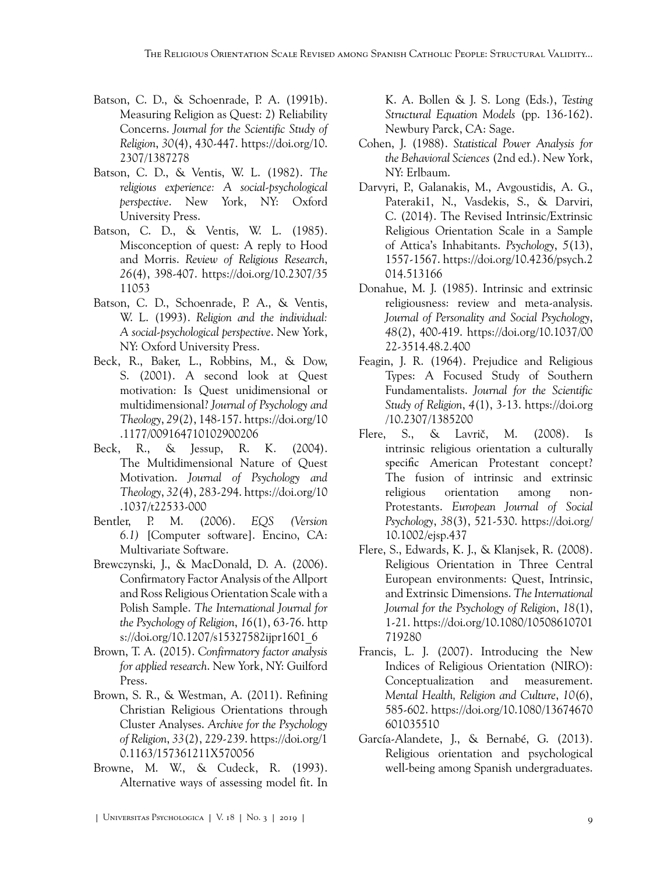- <span id="page-8-5"></span>Batson, C. D., & Schoenrade, P. A. (1991b). Measuring Religion as Quest: 2) Reliability Concerns. *Journal for the Scientific Study of Religion*, *30*(4), 430-447. [https://doi.org/10.](https://doi.org/10.2307/1387278) [2307/1387278](https://doi.org/10.2307/1387278)
- <span id="page-8-1"></span>Batson, C. D., & Ventis, W. L. (1982). *The religious experience: A social-psychological perspective*. New York, NY: Oxford University Press.
- <span id="page-8-6"></span>Batson, C. D., & Ventis, W. L. (1985). Misconception of quest: A reply to Hood and Morris. *Review of Religious Research*, *26*(4), 398-407. [https://doi.org/10.2307/35](https://doi.org/10.2307/3511053) [11053](https://doi.org/10.2307/3511053)
- <span id="page-8-2"></span>Batson, C. D., Schoenrade, P. A., & Ventis, W. L. (1993). *Religion and the individual: A social-psychological perspective*. New York, NY: Oxford University Press.
- <span id="page-8-17"></span>Beck, R., Baker, L., Robbins, M., & Dow, S. (2001). A second look at Quest motivation: Is Quest unidimensional or multidimensional? *Journal of Psychology and Theology*, *29*(2), 148-157. [https://doi.org/10](https://doi.org/10.1177/009164710102900206) [.1177/009164710102900206](https://doi.org/10.1177/009164710102900206)
- <span id="page-8-15"></span>Beck, R., & Jessup, R. K. (2004). The Multidimensional Nature of Quest Motivation. *Journal of Psychology and Theology*, *32*(4), 283-294. [https://doi.org/10](https://doi.org/10.1037/t22533-000) [.1037/t22533-000](https://doi.org/10.1037/t22533-000)
- <span id="page-8-14"></span>Bentler, P. M. (2006). *EQS (Version 6.1)* [Computer software]. Encino, CA: Multivariate Software.
- <span id="page-8-3"></span>Brewczynski, J., & MacDonald, D. A. (2006). Confirmatory Factor Analysis of the Allport and Ross Religious Orientation Scale with a Polish Sample. *The International Journal for the Psychology of Religion*, *16*(1), 63-76. [http](https://doi.org/10.1207/s15327582ijpr1601_6) [s://doi.org/10.1207/s15327582ijpr1601\\_6](https://doi.org/10.1207/s15327582ijpr1601_6)
- <span id="page-8-12"></span>Brown, T. A. (2015). *Confirmatory factor analysis for applied research*. New York, NY: Guilford Press.
- <span id="page-8-9"></span>Brown, S. R., & Westman, A. (2011). Refining Christian Religious Orientations through Cluster Analyses. *Archive for the Psychology of Religion*, *33*(2), 229-239. [https://doi.org/1](https://doi.org/10.1163/157361211X570056) [0.1163/157361211X570056](https://doi.org/10.1163/157361211X570056)
- <span id="page-8-10"></span>Browne, M. W., & Cudeck, R. (1993). Alternative ways of assessing model fit. In

K. A. Bollen & J. S. Long (Eds.), *Testing Structural Equation Models* (pp. 136-162). Newbury Parck, CA: Sage.

- <span id="page-8-13"></span>Cohen, J. (1988). *Statistical Power Analysis for the Behavioral Sciences* (2nd ed.). New York, NY: Erlbaum.
- <span id="page-8-4"></span>Darvyri, P., Galanakis, M., Avgoustidis, A. G., Pateraki1, N., Vasdekis, S., & Darviri, C. (2014). The Revised Intrinsic/Extrinsic Religious Orientation Scale in a Sample of Attica's Inhabitants. *Psychology*, *5*(13), 1557-1567. [https://doi.org/10.4236/psych.2](https://doi.org/10.4236/psych.2014.513166) [014.513166](https://doi.org/10.4236/psych.2014.513166)
- <span id="page-8-8"></span>Donahue, M. J. (1985). Intrinsic and extrinsic religiousness: review and meta-analysis. *Journal of Personality and Social Psychology*, *48*(2), 400-419. [https://doi.org/10.1037/00](https://doi.org/10.1037/0022-3514.48.2.400) [22-3514.48.2.400](https://doi.org/10.1037/0022-3514.48.2.400)
- <span id="page-8-11"></span>Feagin, J. R. (1964). Prejudice and Religious Types: A Focused Study of Southern Fundamentalists. *Journal for the Scientific Study of Religion*, *4*(1), 3-13. [https://doi.org](https://doi.org/10.2307/1385200) [/10.2307/1385200](https://doi.org/10.2307/1385200)
- <span id="page-8-18"></span>Flere, S., & Lavrič, M. (2008). Is intrinsic religious orientation a culturally specific American Protestant concept? The fusion of intrinsic and extrinsic religious orientation among non-Protestants. *European Journal of Social Psychology*, *38*(3), 521-530. [https://doi.org/](https://doi.org/10.1002/ejsp.437) [10.1002/ejsp.437](https://doi.org/10.1002/ejsp.437)
- <span id="page-8-7"></span>Flere, S., Edwards, K. J., & Klanjsek, R. (2008). Religious Orientation in Three Central European environments: Quest, Intrinsic, and Extrinsic Dimensions. *The International Journal for the Psychology of Religion*, *18*(1), 1-21. [https://doi.org/10.1080/10508610701](https://doi.org/10.1080/10508610701719280) [719280](https://doi.org/10.1080/10508610701719280)
- <span id="page-8-0"></span>Francis, L. J. (2007). Introducing the New Indices of Religious Orientation (NIRO): Conceptualization and measurement. *Mental Health, Religion and Culture*, *10*(6), 585-602. [https://doi.org/10.1080/13674670](https://doi.org/10.1080/13674670601035510) [601035510](https://doi.org/10.1080/13674670601035510)
- <span id="page-8-16"></span>García-Alandete, J., & Bernabé, G. (2013). Religious orientation and psychological well-being among Spanish undergraduates.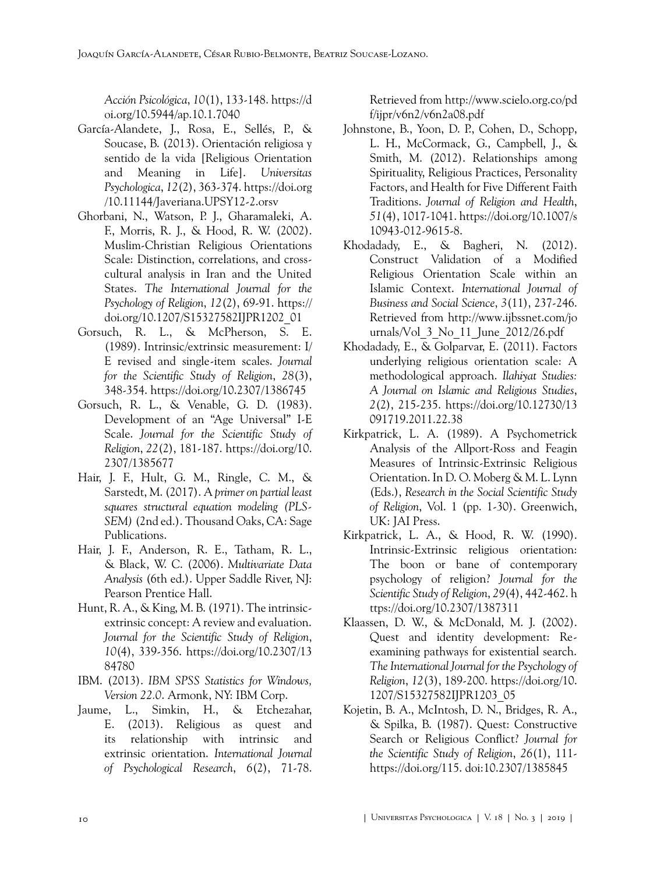*Acción Psicológica*, *10*(1), 133-148. [https://d](https://doi.org/10.5944/ap.10.1.7040) [oi.org/10.5944/ap.10.1.7040](https://doi.org/10.5944/ap.10.1.7040)

- <span id="page-9-3"></span>García-Alandete, J., Rosa, E., Sellés, P., & Soucase, B. (2013). Orientación religiosa y sentido de la vida [Religious Orientation and Meaning in Life]. *Universitas Psychologica*, *12*(2), 363-374. [https://doi.org](https://doi.org/10.11144/Javeriana.UPSY12-2.orsv) [/10.11144/Javeriana.UPSY12-2.orsv](https://doi.org/10.11144/Javeriana.UPSY12-2.orsv)
- <span id="page-9-13"></span>Ghorbani, N., Watson, P. J., Gharamaleki, A. F., Morris, R. J., & Hood, R. W. (2002). Muslim-Christian Religious Orientations Scale: Distinction, correlations, and crosscultural analysis in Iran and the United States. *The International Journal for the Psychology of Religion*, *12*(2), 69-91. [https://](https://doi.org/10.1207/S15327582IJPR1202_01) [doi.org/10.1207/S15327582IJPR1202\\_01](https://doi.org/10.1207/S15327582IJPR1202_01)
- <span id="page-9-9"></span>Gorsuch, R. L., & McPherson, S. E. (1989). Intrinsic/extrinsic measurement: I/ E revised and single-item scales. *Journal for the Scientific Study of Religion*, *28*(3), 348-354. <https://doi.org/10.2307/1386745>
- <span id="page-9-10"></span>Gorsuch, R. L., & Venable, G. D. (1983). Development of an "Age Universal" I-E Scale. *Journal for the Scientific Study of Religion*, *22*(2), 181-187. [https://doi.org/10.](https://doi.org/10.2307/1385677) [2307/1385677](https://doi.org/10.2307/1385677)
- <span id="page-9-8"></span>Hair, J. F., Hult, G. M., Ringle, C. M., & Sarstedt, M. (2017). A *primer on partial least squares structural equation modeling (PLS-SEM)* (2nd ed.). Thousand Oaks, CA: Sage Publications.
- <span id="page-9-6"></span>Hair, J. F., Anderson, R. E., Tatham, R. L., & Black, W. C. (2006). *Multivariate Data Analysis* (6th ed.). Upper Saddle River, NJ: Pearson Prentice Hall.
- <span id="page-9-1"></span>Hunt, R. A., & King, M. B. (1971). The intrinsicextrinsic concept: A review and evaluation. *Journal for the Scientific Study of Religion*, *10*(4), 339-356. [https://doi.org/10.2307/13](https://doi.org/10.2307/1384780) [84780](https://doi.org/10.2307/1384780)
- <span id="page-9-7"></span>IBM. (2013). *IBM SPSS Statistics for Windows, Version 22.0*. Armonk, NY: IBM Corp.
- <span id="page-9-4"></span>Jaume, L., Simkin, H., & Etchezahar, E. (2013). Religious as quest and its relationship with intrinsic and extrinsic orientation. *International Journal of Psychological Research*, *6*(2), 71-78.

Retrieved from [http://www.scielo.org.co/pd](http://www.scielo.org.co/pdf/ijpr/v6n2/v6n2a08.pdf) [f/ijpr/v6n2/v6n2a08.pdf](http://www.scielo.org.co/pdf/ijpr/v6n2/v6n2a08.pdf)

- <span id="page-9-12"></span>Johnstone, B., Yoon, D. P., Cohen, D., Schopp, L. H., McCormack, G., Campbell, J., & Smith, M. (2012). Relationships among Spirituality, Religious Practices, Personality Factors, and Health for Five Different Faith Traditions. *Journal of Religion and Health*, *51*(4), 1017-1041. [https://doi.org/10.1007/s](https://doi.org/10.1007/s10943-012-9615-8) [10943-012-9615-8.](https://doi.org/10.1007/s10943-012-9615-8)
- <span id="page-9-2"></span>Khodadady, E., & Bagheri, N. (2012). Construct Validation of a Modified Religious Orientation Scale within an Islamic Context. *International Journal of Business and Social Science*, *3*(11), 237-246. Retrieved from [http://www.ijbssnet.com/jo](http://www.ijbssnet.com/journals/Vol_3_No_11_June_2012/26.pdf) [urnals/Vol\\_3\\_No\\_11\\_June\\_2012/26.pdf](http://www.ijbssnet.com/journals/Vol_3_No_11_June_2012/26.pdf)
- <span id="page-9-5"></span>Khodadady, E., & Golparvar, E. (2011). Factors underlying religious orientation scale: A methodological approach. *Ilahiyat Studies: A Journal on Islamic and Religious Studies*, *2*(2), 215-235. [https://doi.org/10.12730/13](https://doi.org/10.12730/13091719.2011.22.38) [091719.2011.22.38](https://doi.org/10.12730/13091719.2011.22.38)
- <span id="page-9-11"></span>Kirkpatrick, L. A. (1989). A Psychometrick Analysis of the Allport-Ross and Feagin Measures of Intrinsic-Extrinsic Religious Orientation. In D. O. Moberg & M. L. Lynn (Eds.), *Research in the Social Scientific Study of Religion*, Vol. 1 (pp. 1-30). Greenwich, UK: JAI Press.
- <span id="page-9-0"></span>Kirkpatrick, L. A., & Hood, R. W. (1990). Intrinsic-Extrinsic religious orientation: The boon or bane of contemporary psychology of religion? *Journal for the Scientific Study of Religion*, *29*(4), 442-462. [h](https://doi.org/10.2307/1387311) [ttps://doi.org/10.2307/1387311](https://doi.org/10.2307/1387311)
- <span id="page-9-14"></span>Klaassen, D. W., & McDonald, M. J. (2002). Quest and identity development: Reexamining pathways for existential search. *The International Journal for the Psychology of Religion*, *12*(3), 189-200. [https://doi.org/10.](https://doi.org/10.1207/S15327582IJPR1203_05) [1207/S15327582IJPR1203\\_05](https://doi.org/10.1207/S15327582IJPR1203_05)
- <span id="page-9-15"></span>Kojetin, B. A., McIntosh, D. N., Bridges, R. A., & Spilka, B. (1987). Quest: Constructive Search or Religious Conflict? *Journal for the Scientific Study of Religion*, *26*(1), 111 https://doi.org/115. doi:10.2307/1385845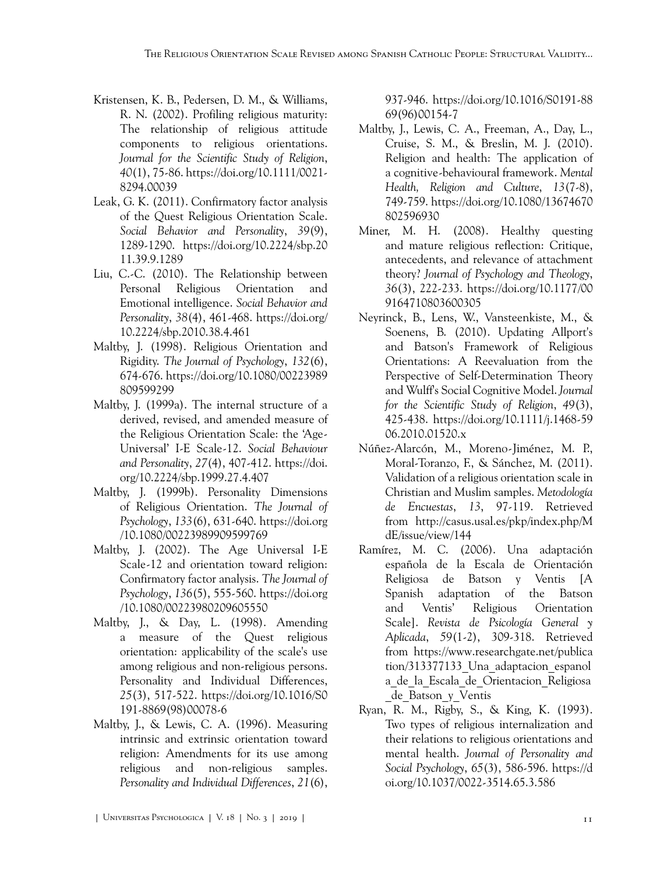- <span id="page-10-13"></span>Kristensen, K. B., Pedersen, D. M., & Williams, R. N. (2002). Profiling religious maturity: The relationship of religious attitude components to religious orientations. *Journal for the Scientific Study of Religion*, *40*(1), 75-86. [https://doi.org/10.1111/0021-](https://doi.org/10.1111/0021-8294.00039) [8294.00039](https://doi.org/10.1111/0021-8294.00039)
- <span id="page-10-7"></span>Leak, G. K. (2011). Confirmatory factor analysis of the Quest Religious Orientation Scale. *Social Behavior and Personality*, *39*(9), 1289-1290. [https://doi.org/10.2224/sbp.20](https://doi.org/10.2224/sbp.2011.39.9.1289) [11.39.9.1289](https://doi.org/10.2224/sbp.2011.39.9.1289)
- <span id="page-10-12"></span>Liu, C.-C. (2010). The Relationship between Personal Religious Orientation and Emotional intelligence. *Social Behavior and Personality*, *38*(4), 461-468. [https://doi.org/](https://doi.org/10.2224/sbp.2010.38.4.461) [10.2224/sbp.2010.38.4.461](https://doi.org/10.2224/sbp.2010.38.4.461)
- <span id="page-10-10"></span>Maltby, J. (1998). Religious Orientation and Rigidity. *The Journal of Psychology*, *132*(6), 674-676. [https://doi.org/10.1080/00223989](https://doi.org/10.1080/00223989809599299) [809599299](https://doi.org/10.1080/00223989809599299)
- <span id="page-10-4"></span>Maltby, J. (1999a). The internal structure of a derived, revised, and amended measure of the Religious Orientation Scale: the 'Age-Universal' I-E Scale-12. *Social Behaviour and Personality*, *27*(4), 407-412. [https://doi.](https://doi.org/10.2224/sbp.1999.27.4.407) [org/10.2224/sbp.1999.27.4.407](https://doi.org/10.2224/sbp.1999.27.4.407)
- <span id="page-10-11"></span>Maltby, J. (1999b). Personality Dimensions of Religious Orientation. *The Journal of Psychology*, *133*(6), 631-640. [https://doi.org](https://doi.org/10.1080/00223989909599769) [/10.1080/00223989909599769](https://doi.org/10.1080/00223989909599769)
- <span id="page-10-1"></span>Maltby, J. (2002). The Age Universal I-E Scale-12 and orientation toward religion: Confirmatory factor analysis. *The Journal of Psychology*, *136*(5), 555-560. [https://doi.org](https://doi.org/10.1080/00223980209605550) [/10.1080/00223980209605550](https://doi.org/10.1080/00223980209605550)
- Maltby, J., & Day, L. (1998). Amending a measure of the Quest religious orientation: applicability of the scale's use among religious and non-religious persons. Personality and Individual Differences, *25*(3), 517-522. [https://doi.org/10.1016/S0](https://doi.org/10.1016/S0191-8869(98)00078-6) [191-8869\(98\)00078-6](https://doi.org/10.1016/S0191-8869(98)00078-6)
- <span id="page-10-9"></span>Maltby, J., & Lewis, C. A. (1996). Measuring intrinsic and extrinsic orientation toward religion: Amendments for its use among religious and non-religious samples. *Personality and Individual Differences*, *21*(6),

937-946. [https://doi.org/10.1016/S0191-88](https://doi.org/10.1016/S0191-8869(96)00154-7) [69\(96\)00154-7](https://doi.org/10.1016/S0191-8869(96)00154-7)

- <span id="page-10-0"></span>Maltby, J., Lewis, C. A., Freeman, A., Day, L., Cruise, S. M., & Breslin, M. J. (2010). Religion and health: The application of a cognitive-behavioural framework. *Mental Health, Religion and Culture*, *13*(7-8), 749-759. [https://doi.org/10.1080/13674670](https://doi.org/10.1080/13674670802596930) [802596930](https://doi.org/10.1080/13674670802596930)
- <span id="page-10-3"></span>Miner, M. H. (2008). Healthy questing and mature religious reflection: Critique, antecedents, and relevance of attachment theory? *Journal of Psychology and Theology*, *36*(3), 222-233. [https://doi.org/10.1177/00](https://doi.org/10.1177/009164710803600305) [9164710803600305](https://doi.org/10.1177/009164710803600305)
- <span id="page-10-2"></span>Neyrinck, B., Lens, W., Vansteenkiste, M., & Soenens, B. (2010). Updating Allport's and Batson's Framework of Religious Orientations: A Reevaluation from the Perspective of Self-Determination Theory and Wulff's Social Cognitive Model. *Journal for the Scientific Study of Religion*, *49*(3), 425-438. [https://doi.org/10.1111/j.1468-59](https://doi.org/10.1111/j.1468-5906.2010.01520.x) [06.2010.01520.x](https://doi.org/10.1111/j.1468-5906.2010.01520.x)
- <span id="page-10-6"></span>Núñez-Alarcón, M., Moreno-Jiménez, M. P., Moral-Toranzo, F., & Sánchez, M. (2011). Validation of a religious orientation scale in Christian and Muslim samples. *Metodología de Encuestas*, *13*, 97-119. Retrieved from [http://casus.usal.es/pkp/index.php/M](http://casus.usal.es/pkp/index.php/MdE/issue/view/144) [dE/issue/view/144](http://casus.usal.es/pkp/index.php/MdE/issue/view/144)
- <span id="page-10-5"></span>Ramírez, M. C. (2006). Una adaptación española de la Escala de Orientación Religiosa de Batson y Ventis [A Spanish adaptation of the Batson and Ventis' Religious Orientation Scale]. *Revista de Psicología General y Aplicada*, *59*(1-2), 309-318. Retrieved from [https://www.researchgate.net/publica](https://www.researchgate.net/publication/313377133_Una_adaptacion_espanola_de_la_Escala_de_Orientacion_Religiosa_de_Batson_y_Ventis) [tion/313377133\\_Una\\_adaptacion\\_espanol](https://www.researchgate.net/publication/313377133_Una_adaptacion_espanola_de_la_Escala_de_Orientacion_Religiosa_de_Batson_y_Ventis) [a\\_de\\_la\\_Escala\\_de\\_Orientacion\\_Religiosa](https://www.researchgate.net/publication/313377133_Una_adaptacion_espanola_de_la_Escala_de_Orientacion_Religiosa_de_Batson_y_Ventis) [\\_de\\_Batson\\_y\\_Ventis](https://www.researchgate.net/publication/313377133_Una_adaptacion_espanola_de_la_Escala_de_Orientacion_Religiosa_de_Batson_y_Ventis)
- <span id="page-10-8"></span>Ryan, R. M., Rigby, S., & King, K. (1993). Two types of religious internalization and their relations to religious orientations and mental health. *Journal of Personality and Social Psychology*, *65*(3), 586-596. [https://d](https://doi.org/10.1037/0022-3514.65.3.586) [oi.org/10.1037/0022-3514.65.3.586](https://doi.org/10.1037/0022-3514.65.3.586)